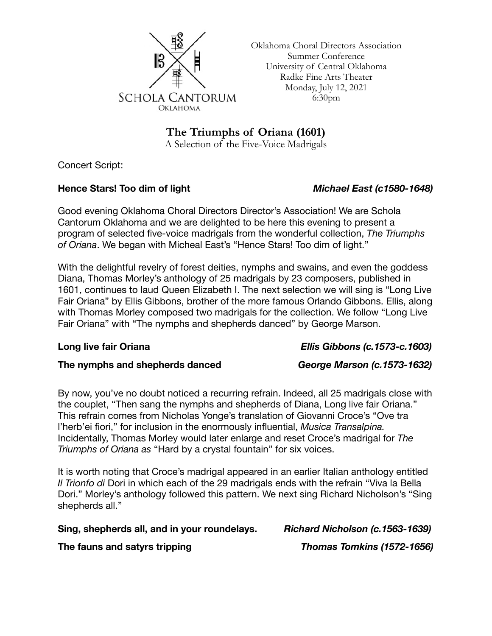

Oklahoma Choral Directors Association Summer Conference University of Central Oklahoma Radke Fine Arts Theater Monday, July 12, 2021 6:30pm

**The Triumphs of Oriana (1601)**

A Selection of the Five-Voice Madrigals

Concert Script:

### **Hence Stars! Too dim of light** *Michael East (c1580-1648)*

Good evening Oklahoma Choral Directors Director's Association! We are Schola Cantorum Oklahoma and we are delighted to be here this evening to present a program of selected five-voice madrigals from the wonderful collection, *The Triumphs of Oriana*. We began with Micheal East's "Hence Stars! Too dim of light."

With the delightful revelry of forest deities, nymphs and swains, and even the goddess Diana, Thomas Morley's anthology of 25 madrigals by 23 composers, published in 1601, continues to laud Queen Elizabeth I. The next selection we will sing is "Long Live Fair Oriana" by Ellis Gibbons, brother of the more famous Orlando Gibbons. Ellis, along with Thomas Morley composed two madrigals for the collection. We follow "Long Live Fair Oriana" with "The nymphs and shepherds danced" by George Marson.

## **Long live fair Oriana** *Ellis Gibbons (c.1573-c.1603)*

### **The nymphs and shepherds danced** *George Marson (c.1573-1632)*

By now, you've no doubt noticed a recurring refrain. Indeed, all 25 madrigals close with the couplet, "Then sang the nymphs and shepherds of Diana, Long live fair Oriana." This refrain comes from Nicholas Yonge's translation of Giovanni Croce's "Ove tra l'herb'ei fiori," for inclusion in the enormously influential, *Musica Transalpina.*  Incidentally, Thomas Morley would later enlarge and reset Croce's madrigal for *The Triumphs of Oriana as* "Hard by a crystal fountain" for six voices.

It is worth noting that Croce's madrigal appeared in an earlier Italian anthology entitled *Il Trionfo di* Dori in which each of the 29 madrigals ends with the refrain "Viva la Bella Dori." Morley's anthology followed this pattern. We next sing Richard Nicholson's "Sing shepherds all."

# **Sing, shepherds all, and in your roundelays.** *Richard Nicholson (c.1563-1639)*

**The fauns and satyrs tripping** *Thomas Tomkins (1572-1656)*